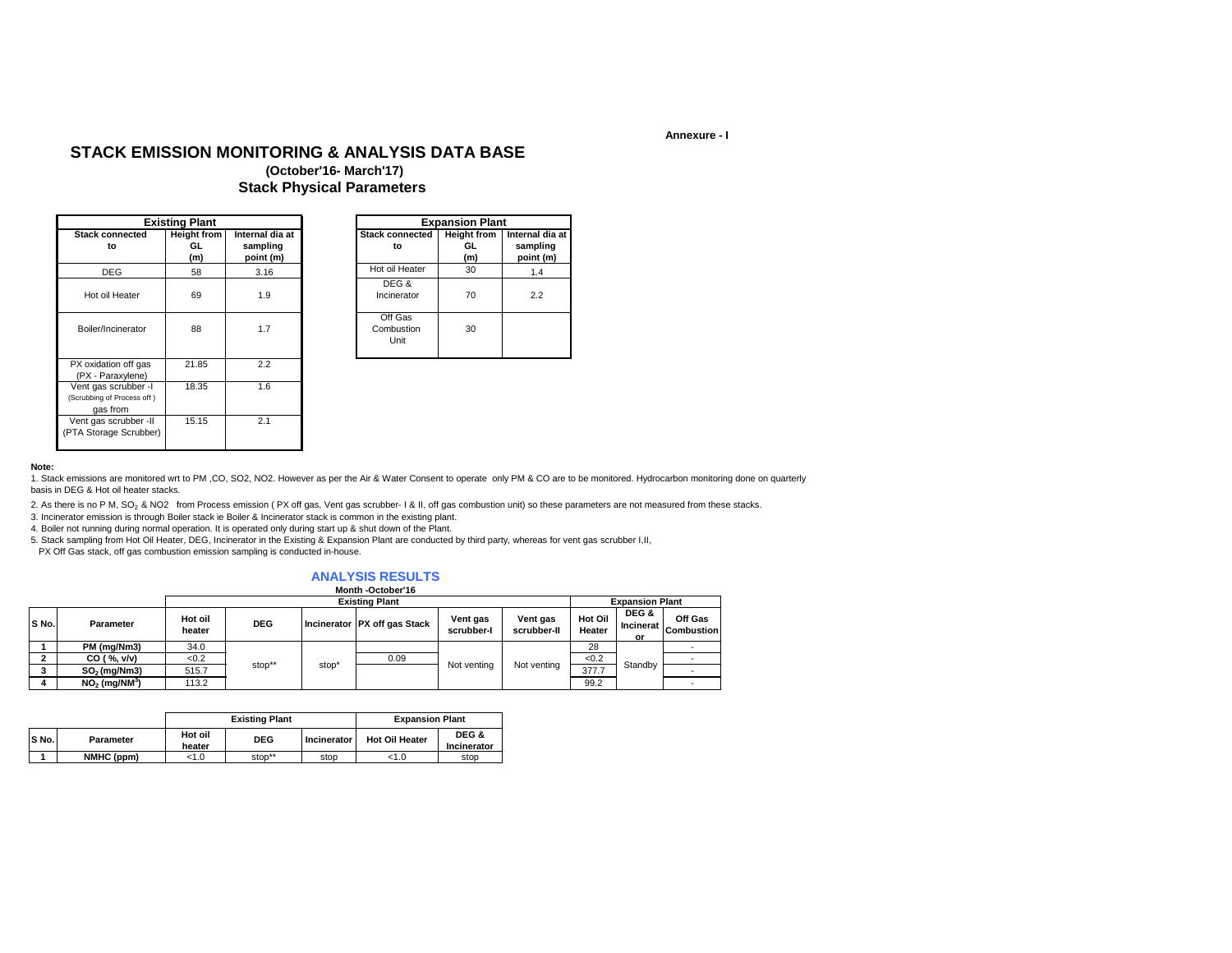### **Annexure - I**

## **STACK EMISSION MONITORING & ANALYSIS DATA BASE**

### **(October'16- March'17) Stack Physical Parameters**

|                                                                | <b>Existing Plant</b>           |                                          |                               | <b>Expansion Plant</b>          |                                          |
|----------------------------------------------------------------|---------------------------------|------------------------------------------|-------------------------------|---------------------------------|------------------------------------------|
| <b>Stack connected</b><br>to                                   | <b>Height from</b><br>GL<br>(m) | Internal dia at<br>sampling<br>point (m) | <b>Stack connected</b><br>to  | <b>Height from</b><br>GL<br>(m) | Internal dia at<br>sampling<br>point (m) |
| <b>DEG</b>                                                     | 58                              | 3.16                                     | Hot oil Heater                | 30                              | 1.4                                      |
| Hot oil Heater                                                 | 69                              | 1.9                                      | DEG &<br>Incinerator          | 70                              | 2.2                                      |
| Boiler/Incinerator                                             | 88                              | 1.7                                      | Off Gas<br>Combustion<br>Unit | 30                              |                                          |
| PX oxidation off gas<br>(PX - Paraxylene)                      | 21.85                           | 2.2                                      |                               |                                 |                                          |
| Vent gas scrubber -I<br>(Scrubbing of Process off)<br>gas from | 18.35                           | 1.6                                      |                               |                                 |                                          |
| Vent gas scrubber -II<br>(PTA Storage Scrubber)                | 15.15                           | 2.1                                      |                               |                                 |                                          |

|                | <b>Existing Plant</b>           |                                          |                               | <b>Expansion Plant</b>           |
|----------------|---------------------------------|------------------------------------------|-------------------------------|----------------------------------|
| onnected<br>to | <b>Height from</b><br>GL<br>(m) | Internal dia at<br>sampling<br>point (m) | <b>Stack connected</b><br>to  | <b>Height from</b><br>GL.<br>(m) |
| EG             | 58                              | 3.16                                     | Hot oil Heater                | 30                               |
| Heater         | 69                              | 1.9                                      | DEG &<br>Incinerator          | 70                               |
| ncinerator     | 88                              | 1.7                                      | Off Gas<br>Combustion<br>Unit | 30                               |

#### **Note:**

1. Stack emissions are monitored wrt to PM ,CO, SO2, NO2. However as per the Air & Water Consent to operate only PM & CO are to be monitored. Hydrocarbon monitoring done on quarterly basis in DEG & Hot oil heater stacks.

2. As there is no P M, SO<sub>2</sub> & NO2 from Process emission (PX off gas, Vent gas scrubber- I & II, off gas combustion unit) so these parameters are not measured from these stacks.

3. Incinerator emission is through Boiler stack ie Boiler & Incinerator stack is common in the existing plant.

4. Boiler not running during normal operation. It is operated only during start up & shut down of the Plant.

5. Stack sampling from Hot Oil Heater, DEG, Incinerator in the Existing & Expansion Plant are conducted by third party, whereas for vent gas scrubber I,II,

PX Off Gas stack, off gas combustion emission sampling is conducted in-house.

#### **ANALYSIS RESULTS Month -October'16**

|       |                             |                   |            |       | טו וסעטוטי וועווטווי         |                        |                         |                        |                          |                       |  |
|-------|-----------------------------|-------------------|------------|-------|------------------------------|------------------------|-------------------------|------------------------|--------------------------|-----------------------|--|
|       |                             |                   |            |       | <b>Existing Plant</b>        |                        |                         | <b>Expansion Plant</b> |                          |                       |  |
| S No. | Parameter                   | Hot oil<br>heater | <b>DEG</b> |       | Incinerator PX off gas Stack | Vent gas<br>scrubber-l | Vent gas<br>scrubber-II | Hot Oil<br>Heater      | DEG &<br>Incinerat<br>or | Off Gas<br>Combustion |  |
|       | PM (mg/Nm3)                 | 34.0              |            |       |                              |                        |                         | 28                     |                          |                       |  |
|       | CO ( %, v/v)                | < 0.2             |            |       | 0.09                         |                        |                         | < 0.2                  |                          |                       |  |
|       | $SO2$ (mg/Nm3)              | 515.7             | stop**     | stop* |                              | Not venting            | Not venting             | 377.7                  | Standby                  |                       |  |
|       | $NO2$ (mg/NM <sup>3</sup> ) | 113.2             |            |       |                              |                        |                         | 99.2                   |                          |                       |  |

|       |            |                   | <b>Existing Plant</b> | <b>Expansion Plant</b> |                       |                      |
|-------|------------|-------------------|-----------------------|------------------------|-----------------------|----------------------|
| S No. | Parameter  | Hot oil<br>heater | <b>DEG</b>            | Incinerator            | <b>Hot Oil Heater</b> | DEG &<br>Incinerator |
|       | NMHC (ppm) | <1.0              | stop**                | stop                   | 1.0                   | stop                 |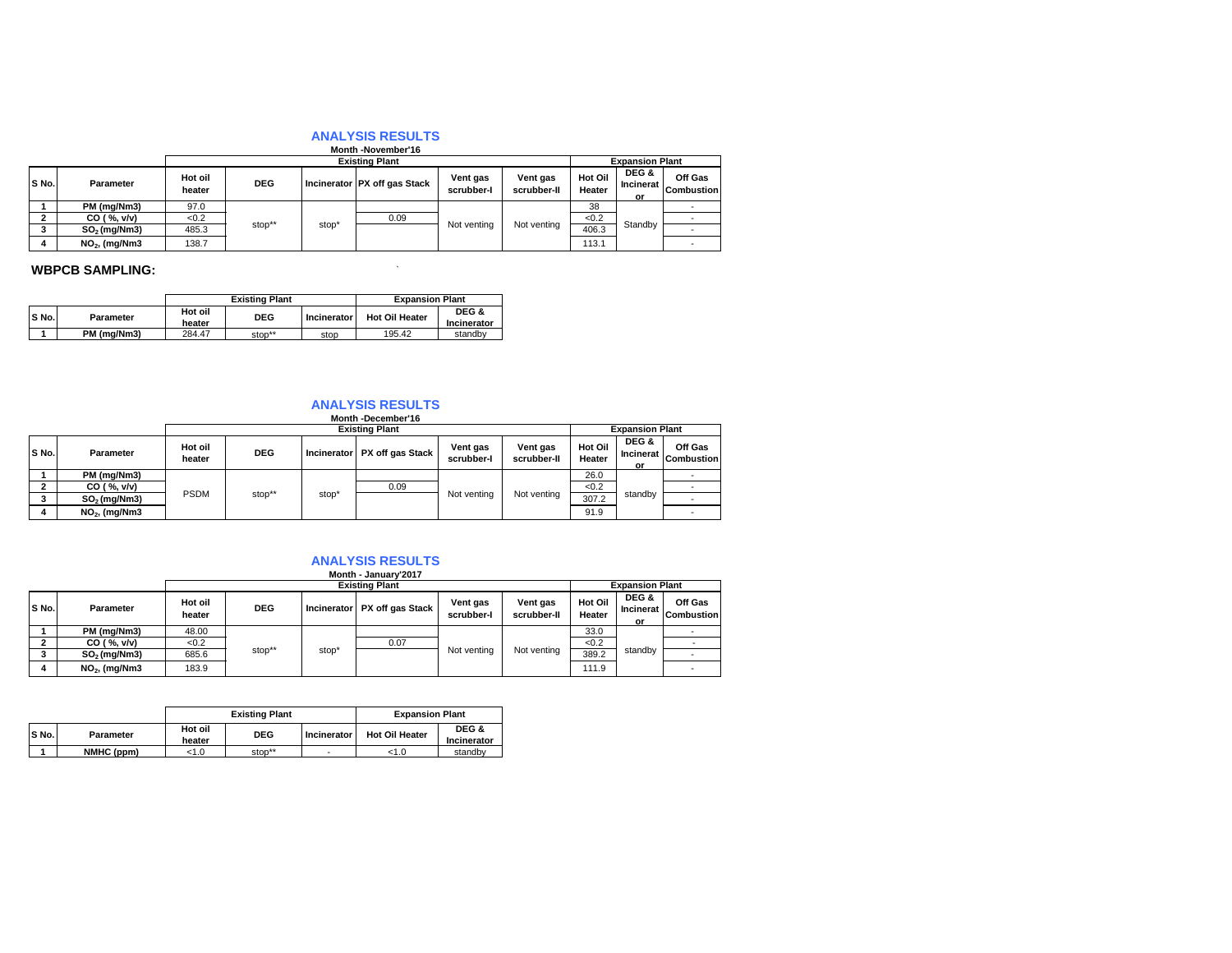# **Month -November'16 ANALYSIS RESULTS**

|       |                 |                   |            |       | <b>MONUTE STRATE</b>         |                        |                         |                        |                          |                              |
|-------|-----------------|-------------------|------------|-------|------------------------------|------------------------|-------------------------|------------------------|--------------------------|------------------------------|
|       |                 |                   |            |       | <b>Existing Plant</b>        |                        |                         | <b>Expansion Plant</b> |                          |                              |
| S No. | Parameter       | Hot oil<br>heater | <b>DEG</b> |       | Incinerator PX off gas Stack | Vent gas<br>scrubber-l | Vent gas<br>scrubber-II | Hot Oil<br>Heater      | DEG &<br>Incinerat<br>or | Off Gas<br><b>Combustion</b> |
|       | PM (mg/Nm3)     | 97.0              |            |       |                              |                        |                         | 38                     |                          |                              |
|       | CO ( %, v/v)    | <0.2              |            |       | 0.09                         |                        |                         | < 0.2                  |                          |                              |
|       | $SO2$ (mg/Nm3)  | 485.3             | stop**     | stop* |                              | Not venting            | Not venting             | 406.3                  | Standby                  |                              |
|       | $NO2$ , (mg/Nm3 | 138.7             |            |       |                              |                        |                         | 113.1                  |                          |                              |

### **WBPCB SAMPLING:**  $\blacksquare$

|       |             |                   | <b>Existing Plant</b> | <b>Expansion Plant</b> |                       |                      |
|-------|-------------|-------------------|-----------------------|------------------------|-----------------------|----------------------|
| S No. | Parameter   | Hot oil<br>heater | <b>DEG</b>            | Incinerator            | <b>Hot Oil Heater</b> | DEG &<br>Incinerator |
|       | PM (ma/Nm3) | 284.47            | stop**                | stop                   | 195.42                | standby              |

# **Month -December'16 ANALYSIS RESULTS**

|       |                 |                   |            |       | <b>MONTH</b> -December 16      |                        |                         |                        |                          |                              |  |  |
|-------|-----------------|-------------------|------------|-------|--------------------------------|------------------------|-------------------------|------------------------|--------------------------|------------------------------|--|--|
|       |                 |                   |            |       | <b>Existing Plant</b>          |                        |                         | <b>Expansion Plant</b> |                          |                              |  |  |
| S No. | Parameter       | Hot oil<br>heater | <b>DEG</b> |       | Incinerator   PX off gas Stack | Vent gas<br>scrubber-l | Vent gas<br>scrubber-II | Hot Oil<br>Heater      | DEG &<br>Incinerat<br>or | Off Gas<br><b>Combustion</b> |  |  |
|       | PM (mg/Nm3)     |                   |            |       |                                |                        |                         | 26.0                   |                          |                              |  |  |
|       | CO ( %, v/v)    |                   |            |       |                                |                        | 0.09                    |                        |                          | < 0.2                        |  |  |
|       | $SO2$ (mg/Nm3)  | <b>PSDM</b>       | stop**     | stop' |                                | Not venting            | Not venting             | 307.2                  | standby                  |                              |  |  |
| 4     | $NO2$ , (mg/Nm3 |                   |            |       |                                |                        |                         | 91.9                   |                          |                              |  |  |

# **ANALYSIS RESULTS Month - January'2017**

|       |                 |                   | <b>Existing Plant</b> |                   |                              |                        |                         | <b>Expansion Plant</b> |                          |                              |  |  |       |  |  |
|-------|-----------------|-------------------|-----------------------|-------------------|------------------------------|------------------------|-------------------------|------------------------|--------------------------|------------------------------|--|--|-------|--|--|
| S No. | Parameter       | Hot oil<br>heater | <b>DEG</b>            |                   | Incinerator PX off gas Stack | Vent gas<br>scrubber-l | Vent gas<br>scrubber-II | Hot Oil<br>Heater      | DEG &<br>Incinerat<br>or | Off Gas<br><b>Combustion</b> |  |  |       |  |  |
|       | PM (mg/Nm3)     | 48.00             |                       |                   |                              |                        |                         | 33.0                   |                          |                              |  |  |       |  |  |
|       | CO ( %, v/v)    | <0.2              |                       |                   |                              |                        |                         |                        |                          | 0.07                         |  |  | < 0.2 |  |  |
|       | $SO2$ (mg/Nm3)  | 685.6             | stop**                | stop <sup>®</sup> |                              | Not venting            | Not venting             | 389.2                  | standby                  |                              |  |  |       |  |  |
|       | $NO2$ , (mg/Nm3 | 183.9             |                       |                   |                              |                        |                         | 111.9                  |                          |                              |  |  |       |  |  |

|       |            |                   | <b>Existing Plant</b> | <b>Expansion Plant</b> |                       |                      |
|-------|------------|-------------------|-----------------------|------------------------|-----------------------|----------------------|
| S No. | Parameter  | Hot oil<br>heater | <b>DEG</b>            | Incinerator            | <b>Hot Oil Heater</b> | DEG &<br>Incinerator |
|       | NMHC (ppm) | <1.0              | stop**                | ۰                      | 1.0                   | standby              |